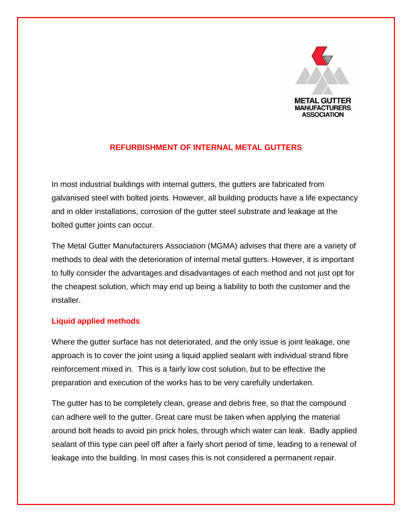

## **REFURBISHMENT OF INTERNAL METAL GUTTERS**

In most industrial buildings with internal gutters, the gutters are fabricated from galvanised steel with bolted joints. However, all building products have a life expectancy and in older installations, corrosion of the gutter steel substrate and leakage at the bolted gutter joints can occur.

The Metal Gutter Manufacturers Association (MGMA) advises that there are a variety of methods to deal with the deterioration of internal metal gutters. However, it is important to fully consider the advantages and disadvantages of each method and not just opt for the cheapest solution, which may end up being a liability to both the customer and the installer.

## **Liquid applied methods**

Where the gutter surface has not deteriorated, and the only issue is joint leakage, one approach is to cover the joint using a liquid applied sealant with individual strand fibre reinforcement mixed in. This is a fairly low cost solution, but to be effective the preparation and execution of the works has to be very carefully undertaken.

The gutter has to be completely clean, grease and debris free, so that the compound can adhere well to the gutter. Great care must be taken when applying the material around bolt heads to avoid pin prick holes, through which water can leak. Badly applied sealant of this type can peel off after a fairly short period of time, leading to a renewal of leakage into the building. In most cases this is not considered a permanent repair.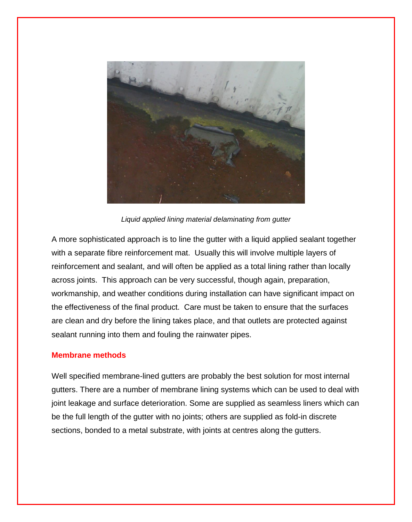

*Liquid applied lining material delaminating from gutter*

A more sophisticated approach is to line the gutter with a liquid applied sealant together with a separate fibre reinforcement mat. Usually this will involve multiple layers of reinforcement and sealant, and will often be applied as a total lining rather than locally across joints. This approach can be very successful, though again, preparation, workmanship, and weather conditions during installation can have significant impact on the effectiveness of the final product. Care must be taken to ensure that the surfaces are clean and dry before the lining takes place, and that outlets are protected against sealant running into them and fouling the rainwater pipes.

## **Membrane methods**

Well specified membrane-lined gutters are probably the best solution for most internal gutters. There are a number of membrane lining systems which can be used to deal with joint leakage and surface deterioration. Some are supplied as seamless liners which can be the full length of the gutter with no joints; others are supplied as fold-in discrete sections, bonded to a metal substrate, with joints at centres along the gutters.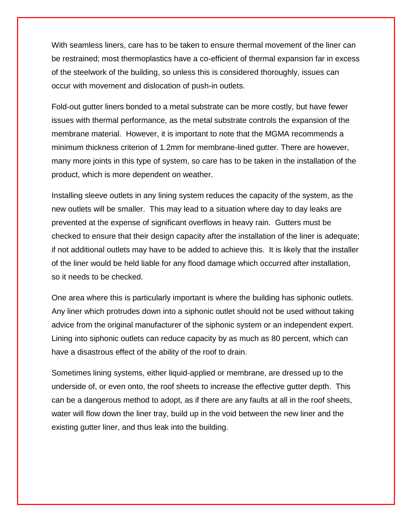With seamless liners, care has to be taken to ensure thermal movement of the liner can be restrained; most thermoplastics have a co-efficient of thermal expansion far in excess of the steelwork of the building, so unless this is considered thoroughly, issues can occur with movement and dislocation of push-in outlets.

Fold-out gutter liners bonded to a metal substrate can be more costly, but have fewer issues with thermal performance, as the metal substrate controls the expansion of the membrane material. However, it is important to note that the MGMA recommends a minimum thickness criterion of 1.2mm for membrane-lined gutter. There are however, many more joints in this type of system, so care has to be taken in the installation of the product, which is more dependent on weather.

Installing sleeve outlets in any lining system reduces the capacity of the system, as the new outlets will be smaller. This may lead to a situation where day to day leaks are prevented at the expense of significant overflows in heavy rain. Gutters must be checked to ensure that their design capacity after the installation of the liner is adequate; if not additional outlets may have to be added to achieve this. It is likely that the installer of the liner would be held liable for any flood damage which occurred after installation, so it needs to be checked.

One area where this is particularly important is where the building has siphonic outlets. Any liner which protrudes down into a siphonic outlet should not be used without taking advice from the original manufacturer of the siphonic system or an independent expert. Lining into siphonic outlets can reduce capacity by as much as 80 percent, which can have a disastrous effect of the ability of the roof to drain.

Sometimes lining systems, either liquid-applied or membrane, are dressed up to the underside of, or even onto, the roof sheets to increase the effective gutter depth. This can be a dangerous method to adopt, as if there are any faults at all in the roof sheets, water will flow down the liner tray, build up in the void between the new liner and the existing gutter liner, and thus leak into the building.